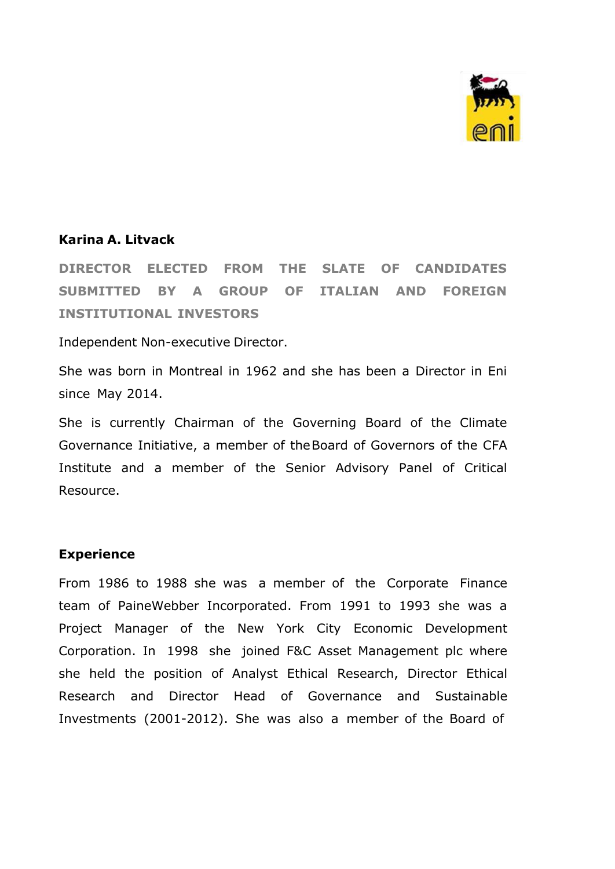

## **Karina A. Litvack**

**DIRECTOR ELECTED FROM THE SLATE OF CANDIDATES SUBMITTED BY A GROUP OF ITALIAN AND FOREIGN INSTITUTIONAL INVESTORS**

Independent Non-executive Director.

She was born in Montreal in 1962 and she has been a Director in Eni since May 2014.

She is currently Chairman of the Governing Board of the Climate Governance Initiative, a member of theBoard of Governors of the CFA Institute and a member of the Senior Advisory Panel of Critical Resource.

## **Experience**

From 1986 to 1988 she was a member of the Corporate Finance team of PaineWebber Incorporated. From 1991 to 1993 she was a Project Manager of the New York City Economic Development Corporation. In 1998 she joined F&C Asset Management plc where she held the position of Analyst Ethical Research, Director Ethical Research and Director Head of Governance and Sustainable Investments (2001-2012). She was also a member of the Board of